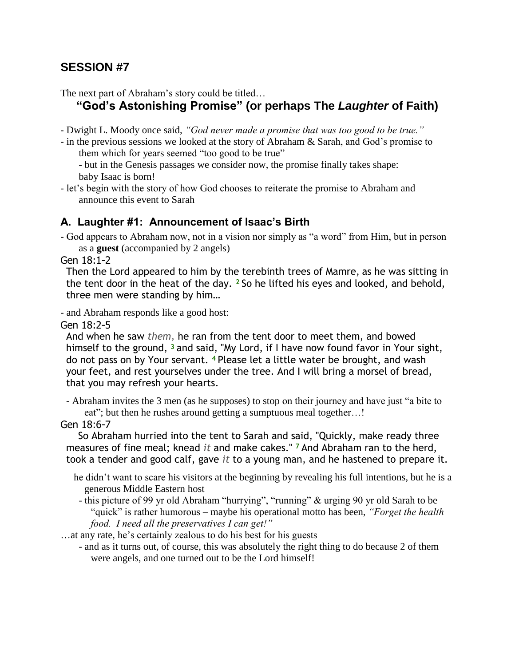## **SESSION #7**

The next part of Abraham's story could be titled…

# **"God's Astonishing Promise" (or perhaps The** *Laughter* **of Faith)**

- Dwight L. Moody once said, *"God never made a promise that was too good to be true."*
- in the previous sessions we looked at the story of Abraham & Sarah, and God's promise to them which for years seemed "too good to be true"
	- but in the Genesis passages we consider now, the promise finally takes shape: baby Isaac is born!
- let's begin with the story of how God chooses to reiterate the promise to Abraham and announce this event to Sarah

## **A. Laughter #1: Announcement of Isaac's Birth**

- God appears to Abraham now, not in a vision nor simply as "a word" from Him, but in person as a **guest** (accompanied by 2 angels)

Gen 18:1-2

Then the Lord appeared to him by the terebinth trees of Mamre, as he was sitting in the tent door in the heat of the day. **<sup>2</sup>** So he lifted his eyes and looked, and behold, three men were standing by him…

- and Abraham responds like a good host:

Gen 18:2-5

And when he saw *them,* he ran from the tent door to meet them, and bowed himself to the ground, **<sup>3</sup>** and said, "My Lord, if I have now found favor in Your sight, do not pass on by Your servant. **<sup>4</sup>** Please let a little water be brought, and wash your feet, and rest yourselves under the tree. And I will bring a morsel of bread, that you may refresh your hearts.

- Abraham invites the 3 men (as he supposes) to stop on their journey and have just "a bite to eat"; but then he rushes around getting a sumptuous meal together...!

Gen 18:6-7

So Abraham hurried into the tent to Sarah and said, "Quickly, make ready three measures of fine meal; knead *it* and make cakes." **<sup>7</sup>** And Abraham ran to the herd, took a tender and good calf, gave *it* to a young man, and he hastened to prepare it.

- he didn't want to scare his visitors at the beginning by revealing his full intentions, but he is a generous Middle Eastern host
	- this picture of 99 yr old Abraham "hurrying", "running" & urging 90 yr old Sarah to be "quick" is rather humorous – maybe his operational motto has been, *"Forget the health food. I need all the preservatives I can get!"*

…at any rate, he's certainly zealous to do his best for his guests

- and as it turns out, of course, this was absolutely the right thing to do because 2 of them were angels, and one turned out to be the Lord himself!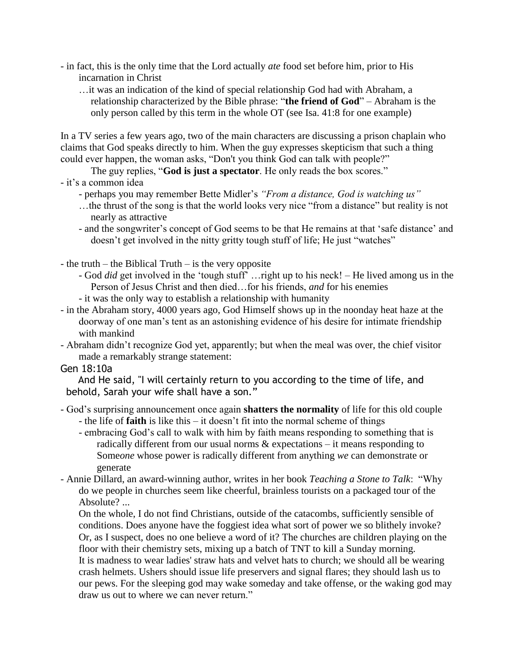- in fact, this is the only time that the Lord actually *ate* food set before him, prior to His incarnation in Christ
	- …it was an indication of the kind of special relationship God had with Abraham, a relationship characterized by the Bible phrase: "**the friend of God**" – Abraham is the only person called by this term in the whole OT (see Isa. 41:8 for one example)

In a TV series a few years ago, two of the main characters are discussing a prison chaplain who claims that God speaks directly to him. When the guy expresses skepticism that such a thing could ever happen, the woman asks, "Don't you think God can talk with people?"

The guy replies, "**God is just a spectator**. He only reads the box scores."

- it's a common idea
	- perhaps you may remember Bette Midler's *"From a distance, God is watching us"*
	- …the thrust of the song is that the world looks very nice "from a distance" but reality is not nearly as attractive
	- and the songwriter's concept of God seems to be that He remains at that 'safe distance' and doesn't get involved in the nitty gritty tough stuff of life; He just "watches"

- the truth – the Biblical Truth – is the very opposite

- God *did* get involved in the 'tough stuff' …right up to his neck! He lived among us in the Person of Jesus Christ and then died…for his friends, *and* for his enemies
- it was the only way to establish a relationship with humanity
- in the Abraham story, 4000 years ago, God Himself shows up in the noonday heat haze at the doorway of one man's tent as an astonishing evidence of his desire for intimate friendship with mankind
- Abraham didn't recognize God yet, apparently; but when the meal was over, the chief visitor made a remarkably strange statement:

Gen 18:10a

And He said, "I will certainly return to you according to the time of life, and behold, Sarah your wife shall have a son."

- God's surprising announcement once again **shatters the normality** of life for this old couple
	- the life of **faith** is like this it doesn't fit into the normal scheme of things
	- embracing God's call to walk with him by faith means responding to something that is radically different from our usual norms & expectations – it means responding to Some*one* whose power is radically different from anything *we* can demonstrate or generate
- Annie Dillard, an award-winning author, writes in her book *Teaching a Stone to Talk*: "Why do we people in churches seem like cheerful, brainless tourists on a packaged tour of the Absolute? ...

On the whole, I do not find Christians, outside of the catacombs, sufficiently sensible of conditions. Does anyone have the foggiest idea what sort of power we so blithely invoke? Or, as I suspect, does no one believe a word of it? The churches are children playing on the floor with their chemistry sets, mixing up a batch of TNT to kill a Sunday morning. It is madness to wear ladies' straw hats and velvet hats to church; we should all be wearing crash helmets. Ushers should issue life preservers and signal flares; they should lash us to our pews. For the sleeping god may wake someday and take offense, or the waking god may draw us out to where we can never return."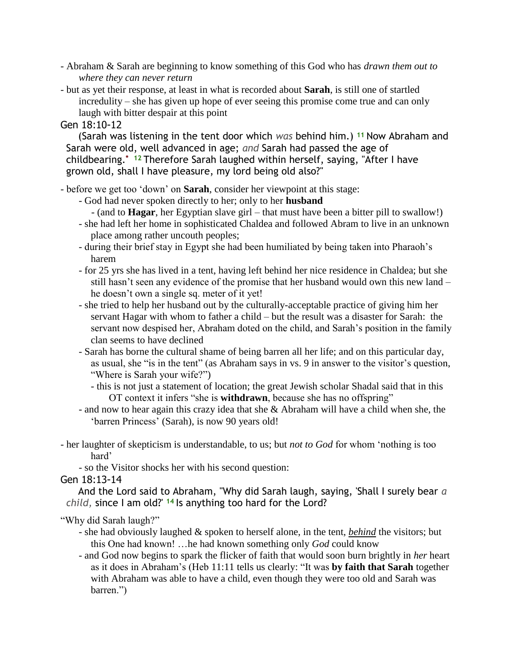- Abraham & Sarah are beginning to know something of this God who has *drawn them out to where they can never return*
- but as yet their response, at least in what is recorded about **Sarah**, is still one of startled incredulity – she has given up hope of ever seeing this promise come true and can only laugh with bitter despair at this point
- Gen 18:10-12

(Sarah was listening in the tent door which *was* behind him.) **<sup>11</sup>** Now Abraham and Sarah were old, well advanced in age; *and* Sarah had passed the age of childbearing.**\* <sup>12</sup>** Therefore Sarah laughed within herself, saying, "After I have grown old, shall I have pleasure, my lord being old also?"

- before we get too 'down' on **Sarah**, consider her viewpoint at this stage:

- God had never spoken directly to her; only to her **husband**
	- (and to **Hagar**, her Egyptian slave girl that must have been a bitter pill to swallow!)
- she had left her home in sophisticated Chaldea and followed Abram to live in an unknown place among rather uncouth peoples;
- during their brief stay in Egypt she had been humiliated by being taken into Pharaoh's harem
- for 25 yrs she has lived in a tent, having left behind her nice residence in Chaldea; but she still hasn't seen any evidence of the promise that her husband would own this new land – he doesn't own a single sq. meter of it yet!
- she tried to help her husband out by the culturally-acceptable practice of giving him her servant Hagar with whom to father a child – but the result was a disaster for Sarah: the servant now despised her, Abraham doted on the child, and Sarah's position in the family clan seems to have declined
- Sarah has borne the cultural shame of being barren all her life; and on this particular day, as usual, she "is in the tent" (as Abraham says in vs. 9 in answer to the visitor's question, "Where is Sarah your wife?")
	- this is not just a statement of location; the great Jewish scholar Shadal said that in this OT context it infers "she is **withdrawn**, because she has no offspring"
- and now to hear again this crazy idea that she & Abraham will have a child when she, the 'barren Princess' (Sarah), is now 90 years old!
- her laughter of skepticism is understandable, to us; but *not to God* for whom 'nothing is too hard'
	- so the Visitor shocks her with his second question:

#### Gen 18:13-14

And the Lord said to Abraham, "Why did Sarah laugh, saying, 'Shall I surely bear *a child,* since I am old?' **<sup>14</sup>** Is anything too hard for the Lord?

## "Why did Sarah laugh?"

- she had obviously laughed & spoken to herself alone, in the tent, *behind* the visitors; but this One had known! …he had known something only *God* could know
- and God now begins to spark the flicker of faith that would soon burn brightly in *her* heart as it does in Abraham's (Heb 11:11 tells us clearly: "It was **by faith that Sarah** together with Abraham was able to have a child, even though they were too old and Sarah was barren.")